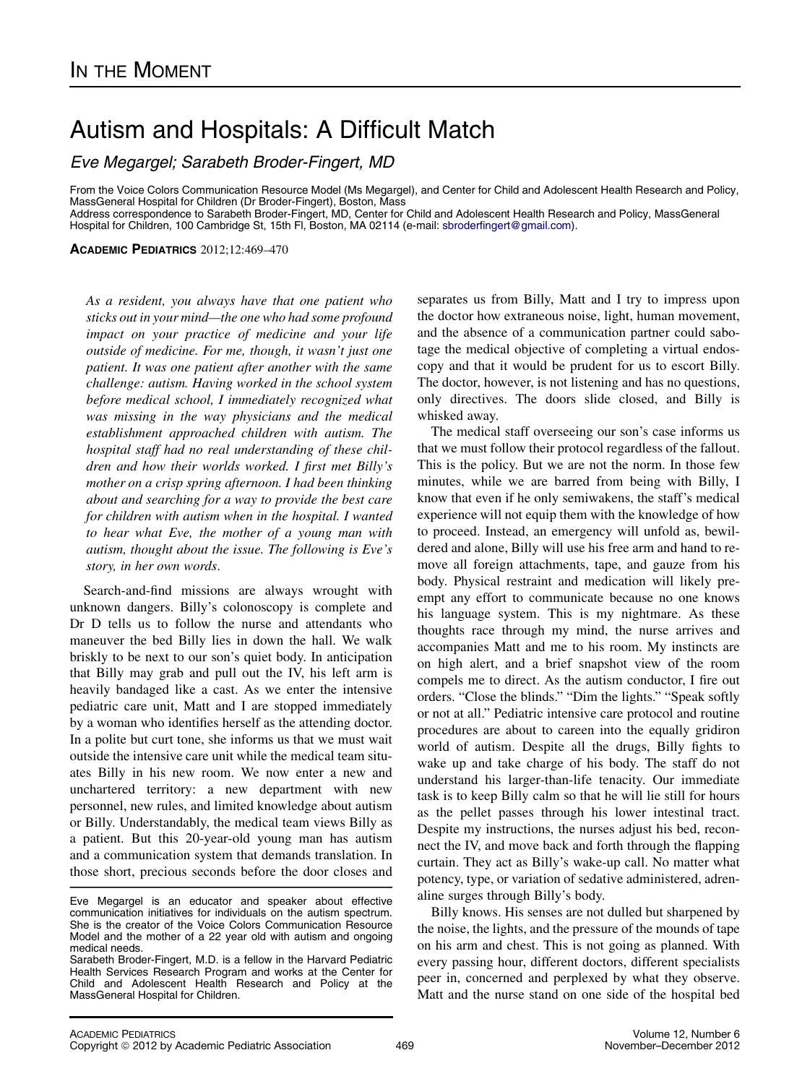## Autism and Hospitals: A Difficult Match

Eve Megargel; Sarabeth Broder-Fingert, MD

From the Voice Colors Communication Resource Model (Ms Megargel), and Center for Child and Adolescent Health Research and Policy, MassGeneral Hospital for Children (Dr Broder-Fingert), Boston, Mass

Address correspondence to Sarabeth Broder-Fingert, MD, Center for Child and Adolescent Health Research and Policy, MassGeneral Hospital for Children, 100 Cambridge St, 15th Fl, Boston, MA 02114 (e-mail: [sbroderfingert@gmail.com\)](mailto:sbroderfingert@gmail.com).

ACADEMIC PEDIATRICS 2012;12:469–470

As a resident, you always have that one patient who sticks out in your mind—the one who had some profound impact on your practice of medicine and your life outside of medicine. For me, though, it wasn't just one patient. It was one patient after another with the same challenge: autism. Having worked in the school system before medical school, I immediately recognized what was missing in the way physicians and the medical establishment approached children with autism. The hospital staff had no real understanding of these children and how their worlds worked. I first met Billy's mother on a crisp spring afternoon. I had been thinking about and searching for a way to provide the best care for children with autism when in the hospital. I wanted to hear what Eve, the mother of a young man with autism, thought about the issue. The following is Eve's story, in her own words.

Search-and-find missions are always wrought with unknown dangers. Billy's colonoscopy is complete and Dr D tells us to follow the nurse and attendants who maneuver the bed Billy lies in down the hall. We walk briskly to be next to our son's quiet body. In anticipation that Billy may grab and pull out the IV, his left arm is heavily bandaged like a cast. As we enter the intensive pediatric care unit, Matt and I are stopped immediately by a woman who identifies herself as the attending doctor. In a polite but curt tone, she informs us that we must wait outside the intensive care unit while the medical team situates Billy in his new room. We now enter a new and unchartered territory: a new department with new personnel, new rules, and limited knowledge about autism or Billy. Understandably, the medical team views Billy as a patient. But this 20-year-old young man has autism and a communication system that demands translation. In those short, precious seconds before the door closes and separates us from Billy, Matt and I try to impress upon the doctor how extraneous noise, light, human movement, and the absence of a communication partner could sabotage the medical objective of completing a virtual endoscopy and that it would be prudent for us to escort Billy. The doctor, however, is not listening and has no questions, only directives. The doors slide closed, and Billy is whisked away.

The medical staff overseeing our son's case informs us that we must follow their protocol regardless of the fallout. This is the policy. But we are not the norm. In those few minutes, while we are barred from being with Billy, I know that even if he only semiwakens, the staff's medical experience will not equip them with the knowledge of how to proceed. Instead, an emergency will unfold as, bewildered and alone, Billy will use his free arm and hand to remove all foreign attachments, tape, and gauze from his body. Physical restraint and medication will likely preempt any effort to communicate because no one knows his language system. This is my nightmare. As these thoughts race through my mind, the nurse arrives and accompanies Matt and me to his room. My instincts are on high alert, and a brief snapshot view of the room compels me to direct. As the autism conductor, I fire out orders. "Close the blinds." "Dim the lights." "Speak softly or not at all." Pediatric intensive care protocol and routine procedures are about to careen into the equally gridiron world of autism. Despite all the drugs, Billy fights to wake up and take charge of his body. The staff do not understand his larger-than-life tenacity. Our immediate task is to keep Billy calm so that he will lie still for hours as the pellet passes through his lower intestinal tract. Despite my instructions, the nurses adjust his bed, reconnect the IV, and move back and forth through the flapping curtain. They act as Billy's wake-up call. No matter what potency, type, or variation of sedative administered, adrenaline surges through Billy's body.

Billy knows. His senses are not dulled but sharpened by the noise, the lights, and the pressure of the mounds of tape on his arm and chest. This is not going as planned. With every passing hour, different doctors, different specialists peer in, concerned and perplexed by what they observe. Matt and the nurse stand on one side of the hospital bed

Eve Megargel is an educator and speaker about effective communication initiatives for individuals on the autism spectrum. She is the creator of the Voice Colors Communication Resource Model and the mother of a 22 year old with autism and ongoing medical needs.

Sarabeth Broder-Fingert, M.D. is a fellow in the Harvard Pediatric Health Services Research Program and works at the Center for Child and Adolescent Health Research and Policy at the MassGeneral Hospital for Children.